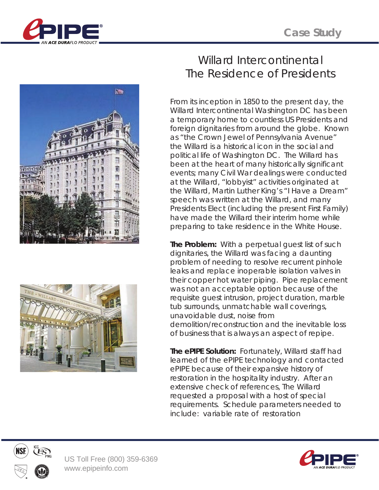





## Willard Intercontinental The Residence of Presidents

From its inception in 1850 to the present day, the Willard Intercontinental Washington DC has been a temporary home to countless US Presidents and foreign dignitaries from around the globe. Known as "the Crown Jewel of Pennsylvania Avenue" the Willard is a historical icon in the social and political life of Washington DC. The Willard has been at the heart of many historically significant events; many Civil War dealings were conducted at the Willard, "lobbyist" activities originated at the Willard, Martin Luther King's "I Have a Dream" speech was written at the Willard, and many Presidents Elect (including the present First Family) have made the Willard their interim home while preparing to take residence in the White House.

**The Problem:** With a perpetual guest list of such dignitaries, the Willard was facing a daunting problem of needing to resolve recurrent pinhole leaks and replace inoperable isolation valves in their copper hot water piping. Pipe replacement was not an acceptable option because of the requisite guest intrusion, project duration, marble tub surrounds, unmatchable wall coverings, unavoidable dust, noise from demolition/reconstruction and the inevitable loss of business that is always an aspect of repipe.

**The ePIPE Solution:** Fortunately, Willard staff had learned of the ePIPE technology and contacted ePIPE because of their expansive history of restoration in the hospitality industry. After an extensive check of references, The Willard requested a proposal with a host of special requirements. Schedule parameters needed to include: variable rate of restoration